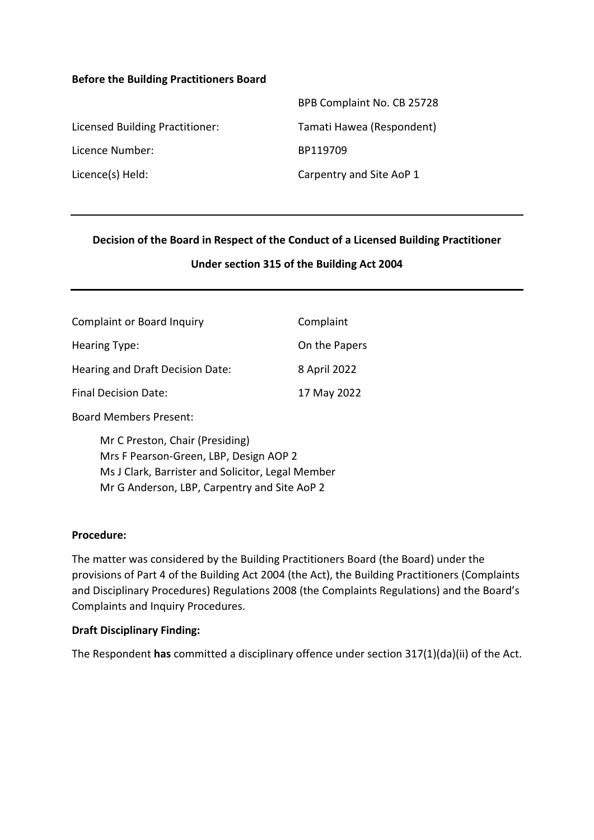#### **Before the Building Practitioners Board**

|                                 | BPB Complaint No. CB 25728 |
|---------------------------------|----------------------------|
| Licensed Building Practitioner: | Tamati Hawea (Respondent)  |
| Licence Number:                 | BP119709                   |
| Licence(s) Held:                | Carpentry and Site AoP 1   |

#### **Decision of the Board in Respect of the Conduct of a Licensed Building Practitioner**

#### **Under section 315 of the Building Act 2004**

| <b>Complaint or Board Inquiry</b> | Complaint     |
|-----------------------------------|---------------|
| Hearing Type:                     | On the Papers |
| Hearing and Draft Decision Date:  | 8 April 2022  |
| <b>Final Decision Date:</b>       | 17 May 2022   |
|                                   |               |

Board Members Present:

Mr C Preston, Chair (Presiding) Mrs F Pearson-Green, LBP, Design AOP 2 Ms J Clark, Barrister and Solicitor, Legal Member Mr G Anderson, LBP, Carpentry and Site AoP 2

#### **Procedure:**

The matter was considered by the Building Practitioners Board (the Board) under the provisions of Part 4 of the Building Act 2004 (the Act), the Building Practitioners (Complaints and Disciplinary Procedures) Regulations 2008 (the Complaints Regulations) and the Board's Complaints and Inquiry Procedures.

#### **Draft Disciplinary Finding:**

The Respondent **has** committed a disciplinary offence under section 317(1)(da)(ii) of the Act.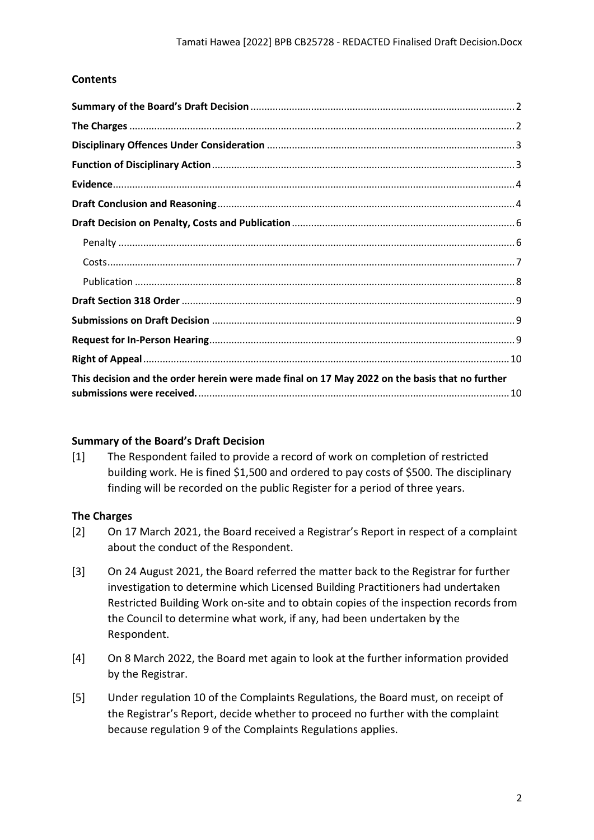## **Contents**

| This decision and the order herein were made final on 17 May 2022 on the basis that no further |  |  |
|------------------------------------------------------------------------------------------------|--|--|

## <span id="page-1-0"></span>**Summary of the Board's Draft Decision**

[1] The Respondent failed to provide a record of work on completion of restricted building work. He is fined \$1,500 and ordered to pay costs of \$500. The disciplinary finding will be recorded on the public Register for a period of three years.

## <span id="page-1-1"></span>**The Charges**

- [2] On 17 March 2021, the Board received a Registrar's Report in respect of a complaint about the conduct of the Respondent.
- [3] On 24 August 2021, the Board referred the matter back to the Registrar for further investigation to determine which Licensed Building Practitioners had undertaken Restricted Building Work on-site and to obtain copies of the inspection records from the Council to determine what work, if any, had been undertaken by the Respondent.
- [4] On 8 March 2022, the Board met again to look at the further information provided by the Registrar.
- [5] Under regulation 10 of the Complaints Regulations, the Board must, on receipt of the Registrar's Report, decide whether to proceed no further with the complaint because regulation 9 of the Complaints Regulations applies.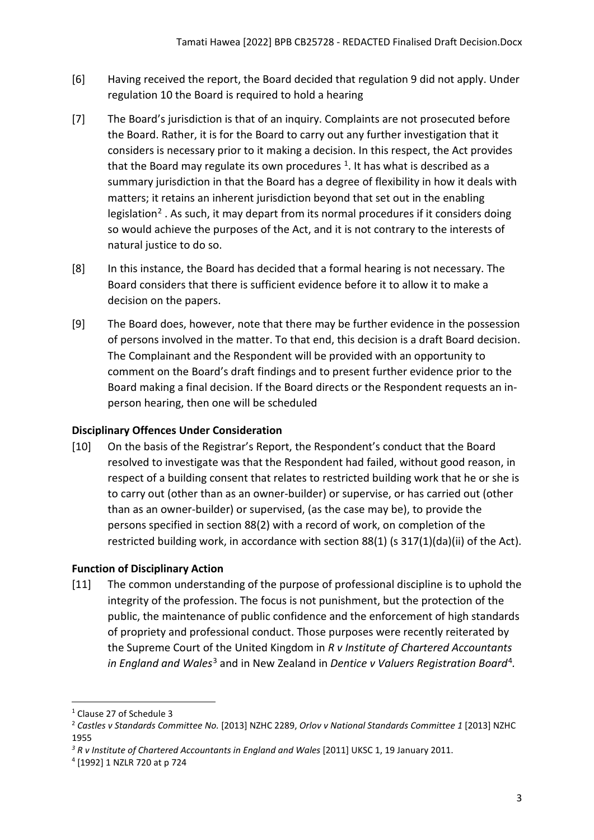- [6] Having received the report, the Board decided that regulation 9 did not apply. Under regulation 10 the Board is required to hold a hearing
- [7] The Board's jurisdiction is that of an inquiry. Complaints are not prosecuted before the Board. Rather, it is for the Board to carry out any further investigation that it considers is necessary prior to it making a decision. In this respect, the Act provides that the Board may regulate its own procedures  $<sup>1</sup>$  $<sup>1</sup>$  $<sup>1</sup>$ . It has what is described as a</sup> summary jurisdiction in that the Board has a degree of flexibility in how it deals with matters; it retains an inherent jurisdiction beyond that set out in the enabling legislation<sup>[2](#page-2-3)</sup>. As such, it may depart from its normal procedures if it considers doing so would achieve the purposes of the Act, and it is not contrary to the interests of natural justice to do so.
- [8] In this instance, the Board has decided that a formal hearing is not necessary. The Board considers that there is sufficient evidence before it to allow it to make a decision on the papers.
- [9] The Board does, however, note that there may be further evidence in the possession of persons involved in the matter. To that end, this decision is a draft Board decision. The Complainant and the Respondent will be provided with an opportunity to comment on the Board's draft findings and to present further evidence prior to the Board making a final decision. If the Board directs or the Respondent requests an inperson hearing, then one will be scheduled

# <span id="page-2-0"></span>**Disciplinary Offences Under Consideration**

[10] On the basis of the Registrar's Report, the Respondent's conduct that the Board resolved to investigate was that the Respondent had failed, without good reason, in respect of a building consent that relates to restricted building work that he or she is to carry out (other than as an owner-builder) or supervise, or has carried out (other than as an owner-builder) or supervised, (as the case may be), to provide the persons specified in section 88(2) with a record of work, on completion of the restricted building work, in accordance with section 88(1) (s 317(1)(da)(ii) of the Act).

# <span id="page-2-1"></span>**Function of Disciplinary Action**

[11] The common understanding of the purpose of professional discipline is to uphold the integrity of the profession. The focus is not punishment, but the protection of the public, the maintenance of public confidence and the enforcement of high standards of propriety and professional conduct. Those purposes were recently reiterated by the Supreme Court of the United Kingdom in *R v Institute of Chartered Accountants in England and Wales*[3](#page-2-4) and in New Zealand in *Dentice v Valuers Registration Board*[4](#page-2-5)*.*

<span id="page-2-2"></span><sup>1</sup> Clause 27 of Schedule 3

<span id="page-2-3"></span><sup>2</sup> *Castles v Standards Committee No.* [2013] NZHC 2289, *Orlov v National Standards Committee 1* [2013] NZHC 1955

<span id="page-2-4"></span>*<sup>3</sup> R v Institute of Chartered Accountants in England and Wales* [2011] UKSC 1, 19 January 2011.

<span id="page-2-5"></span><sup>4</sup> [1992] 1 NZLR 720 at p 724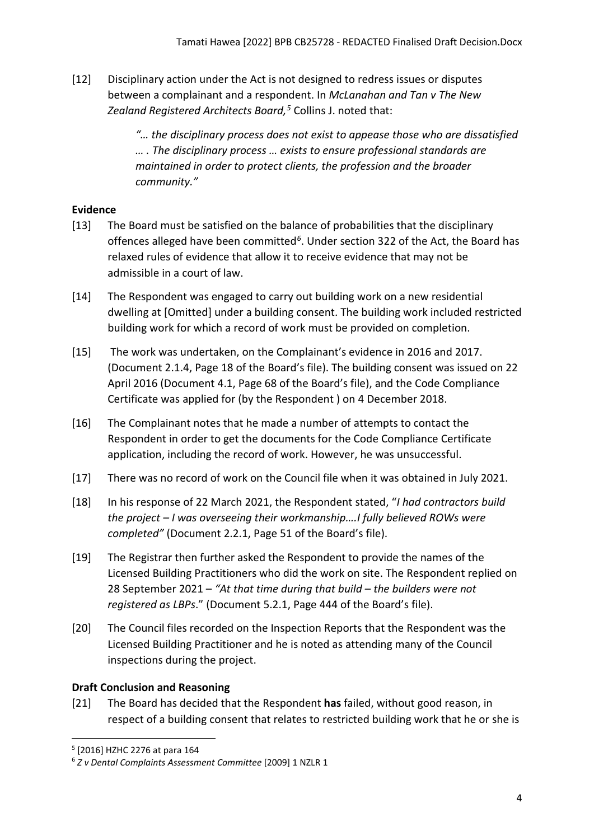[12] Disciplinary action under the Act is not designed to redress issues or disputes between a complainant and a respondent. In *McLanahan and Tan v The New Zealand Registered Architects Board, [5](#page-3-2)* Collins J. noted that:

> *"… the disciplinary process does not exist to appease those who are dissatisfied … . The disciplinary process … exists to ensure professional standards are maintained in order to protect clients, the profession and the broader community."*

# <span id="page-3-0"></span>**Evidence**

- [13] The Board must be satisfied on the balance of probabilities that the disciplinary offences alleged have been committed*[6](#page-3-3)*. Under section 322 of the Act, the Board has relaxed rules of evidence that allow it to receive evidence that may not be admissible in a court of law.
- [14] The Respondent was engaged to carry out building work on a new residential dwelling at [Omitted] under a building consent. The building work included restricted building work for which a record of work must be provided on completion.
- [15] The work was undertaken, on the Complainant's evidence in 2016 and 2017. (Document 2.1.4, Page 18 of the Board's file). The building consent was issued on 22 April 2016 (Document 4.1, Page 68 of the Board's file), and the Code Compliance Certificate was applied for (by the Respondent ) on 4 December 2018.
- [16] The Complainant notes that he made a number of attempts to contact the Respondent in order to get the documents for the Code Compliance Certificate application, including the record of work. However, he was unsuccessful.
- [17] There was no record of work on the Council file when it was obtained in July 2021.
- [18] In his response of 22 March 2021, the Respondent stated, "*I had contractors build the project – I was overseeing their workmanship….I fully believed ROWs were completed"* (Document 2.2.1, Page 51 of the Board's file).
- [19] The Registrar then further asked the Respondent to provide the names of the Licensed Building Practitioners who did the work on site. The Respondent replied on 28 September 2021 – *"At that time during that build – the builders were not registered as LBPs*." (Document 5.2.1, Page 444 of the Board's file).
- [20] The Council files recorded on the Inspection Reports that the Respondent was the Licensed Building Practitioner and he is noted as attending many of the Council inspections during the project.

# <span id="page-3-1"></span>**Draft Conclusion and Reasoning**

[21] The Board has decided that the Respondent **has** failed, without good reason, in respect of a building consent that relates to restricted building work that he or she is

<span id="page-3-2"></span><sup>5</sup> [2016] HZHC 2276 at para 164

<span id="page-3-3"></span><sup>6</sup> *Z v Dental Complaints Assessment Committee* [2009] 1 NZLR 1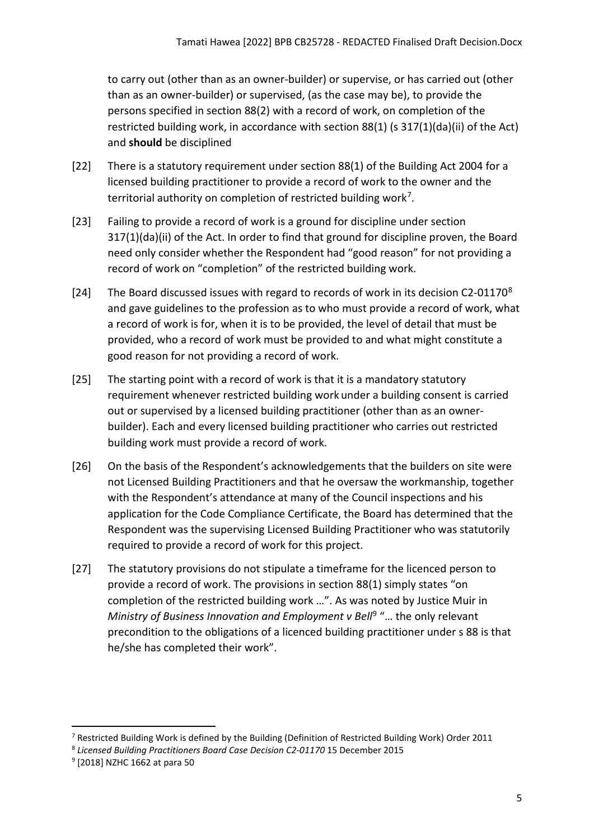to carry out (other than as an owner-builder) or supervise, or has carried out (other than as an owner-builder) or supervised, (as the case may be), to provide the persons specified in section 88(2) with a record of work, on completion of the restricted building work, in accordance with section 88(1) (s 317(1)(da)(ii) of the Act) and **should** be disciplined

- [22] There is a statutory requirement under section 88(1) of the Building Act 2004 for a licensed building practitioner to provide a record of work to the owner and the territorial authority on completion of restricted building work[7](#page-4-0).
- [23] Failing to provide a record of work is a ground for discipline under section 317(1)(da)(ii) of the Act. In order to find that ground for discipline proven, the Board need only consider whether the Respondent had "good reason" for not providing a record of work on "completion" of the restricted building work.
- [24] The Board discussed issues with regard to records of work in its decision C2-01170<sup>[8](#page-4-1)</sup> and gave guidelines to the profession as to who must provide a record of work, what a record of work is for, when it is to be provided, the level of detail that must be provided, who a record of work must be provided to and what might constitute a good reason for not providing a record of work.
- [25] The starting point with a record of work is that it is a mandatory statutory requirement whenever restricted building work under a building consent is carried out or supervised by a licensed building practitioner (other than as an ownerbuilder). Each and every licensed building practitioner who carries out restricted building work must provide a record of work.
- [26] On the basis of the Respondent's acknowledgements that the builders on site were not Licensed Building Practitioners and that he oversaw the workmanship, together with the Respondent's attendance at many of the Council inspections and his application for the Code Compliance Certificate, the Board has determined that the Respondent was the supervising Licensed Building Practitioner who was statutorily required to provide a record of work for this project.
- [27] The statutory provisions do not stipulate a timeframe for the licenced person to provide a record of work. The provisions in section 88(1) simply states "on completion of the restricted building work …". As was noted by Justice Muir in *Ministry of Business Innovation and Employment v Bell<sup>[9](#page-4-2)</sup> "... the only relevant* precondition to the obligations of a licenced building practitioner under s 88 is that he/she has completed their work".

<span id="page-4-0"></span><sup>&</sup>lt;sup>7</sup> Restricted Building Work is defined by the Building (Definition of Restricted Building Work) Order 2011

<span id="page-4-1"></span><sup>8</sup> *Licensed Building Practitioners Board Case Decision C2-01170* 15 December 2015

<span id="page-4-2"></span><sup>9</sup> [2018] NZHC 1662 at para 50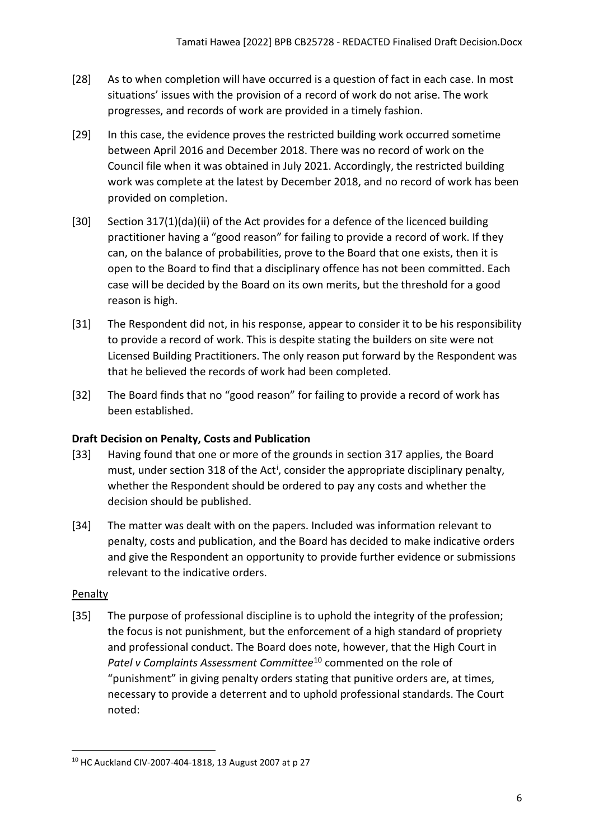- [28] As to when completion will have occurred is a question of fact in each case. In most situations' issues with the provision of a record of work do not arise. The work progresses, and records of work are provided in a timely fashion.
- [29] In this case, the evidence proves the restricted building work occurred sometime between April 2016 and December 2018. There was no record of work on the Council file when it was obtained in July 2021. Accordingly, the restricted building work was complete at the latest by December 2018, and no record of work has been provided on completion.
- [30] Section 317(1)(da)(ii) of the Act provides for a defence of the licenced building practitioner having a "good reason" for failing to provide a record of work. If they can, on the balance of probabilities, prove to the Board that one exists, then it is open to the Board to find that a disciplinary offence has not been committed. Each case will be decided by the Board on its own merits, but the threshold for a good reason is high.
- [31] The Respondent did not, in his response, appear to consider it to be his responsibility to provide a record of work. This is despite stating the builders on site were not Licensed Building Practitioners. The only reason put forward by the Respondent was that he believed the records of work had been completed.
- [32] The Board finds that no "good reason" for failing to provide a record of work has been established.

# <span id="page-5-0"></span>**Draft Decision on Penalty, Costs and Publication**

- [33] Having found that one or more of the grounds in section 317 applies, the Board must, under sect[i](#page-9-2)on 318 of the Act<sup>i</sup>, consider the appropriate disciplinary penalty, whether the Respondent should be ordered to pay any costs and whether the decision should be published.
- [34] The matter was dealt with on the papers. Included was information relevant to penalty, costs and publication, and the Board has decided to make indicative orders and give the Respondent an opportunity to provide further evidence or submissions relevant to the indicative orders.

## <span id="page-5-1"></span>**Penalty**

[35] The purpose of professional discipline is to uphold the integrity of the profession; the focus is not punishment, but the enforcement of a high standard of propriety and professional conduct. The Board does note, however, that the High Court in *Patel v Complaints Assessment Committee*[10](#page-5-2) commented on the role of "punishment" in giving penalty orders stating that punitive orders are, at times, necessary to provide a deterrent and to uphold professional standards. The Court noted:

<span id="page-5-2"></span><sup>10</sup> HC Auckland CIV-2007-404-1818, 13 August 2007 at p 27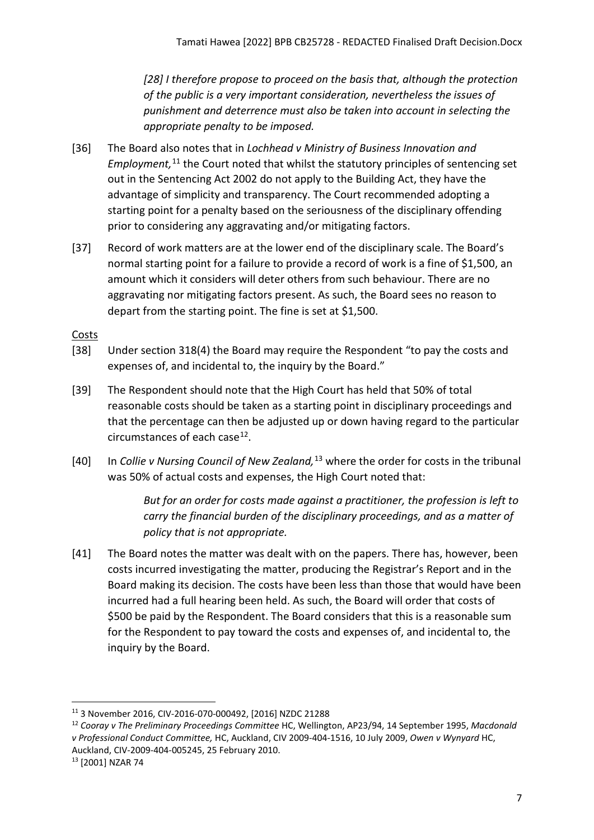*[28] I therefore propose to proceed on the basis that, although the protection of the public is a very important consideration, nevertheless the issues of punishment and deterrence must also be taken into account in selecting the appropriate penalty to be imposed.*

- [36] The Board also notes that in *Lochhead v Ministry of Business Innovation and*  Employment,<sup>[11](#page-6-1)</sup> the Court noted that whilst the statutory principles of sentencing set out in the Sentencing Act 2002 do not apply to the Building Act, they have the advantage of simplicity and transparency. The Court recommended adopting a starting point for a penalty based on the seriousness of the disciplinary offending prior to considering any aggravating and/or mitigating factors.
- [37] Record of work matters are at the lower end of the disciplinary scale. The Board's normal starting point for a failure to provide a record of work is a fine of \$1,500, an amount which it considers will deter others from such behaviour. There are no aggravating nor mitigating factors present. As such, the Board sees no reason to depart from the starting point. The fine is set at \$1,500.

## <span id="page-6-0"></span>**Costs**

- [38] Under section 318(4) the Board may require the Respondent "to pay the costs and expenses of, and incidental to, the inquiry by the Board."
- [39] The Respondent should note that the High Court has held that 50% of total reasonable costs should be taken as a starting point in disciplinary proceedings and that the percentage can then be adjusted up or down having regard to the particular circumstances of each case $^{12}$ .
- [40] In *Collie v Nursing Council of New Zealand,*[13](#page-6-3) where the order for costs in the tribunal was 50% of actual costs and expenses, the High Court noted that:

*But for an order for costs made against a practitioner, the profession is left to carry the financial burden of the disciplinary proceedings, and as a matter of policy that is not appropriate.*

[41] The Board notes the matter was dealt with on the papers. There has, however, been costs incurred investigating the matter, producing the Registrar's Report and in the Board making its decision. The costs have been less than those that would have been incurred had a full hearing been held. As such, the Board will order that costs of \$500 be paid by the Respondent. The Board considers that this is a reasonable sum for the Respondent to pay toward the costs and expenses of, and incidental to, the inquiry by the Board.

<span id="page-6-1"></span><sup>11</sup> 3 November 2016, CIV-2016-070-000492, [2016] NZDC 21288

<span id="page-6-2"></span><sup>12</sup> *Cooray v The Preliminary Proceedings Committee* HC, Wellington, AP23/94, 14 September 1995, *Macdonald v Professional Conduct Committee,* HC, Auckland, CIV 2009-404-1516, 10 July 2009, *Owen v Wynyard* HC, Auckland, CIV-2009-404-005245, 25 February 2010. 13 [2001] NZAR 74

<span id="page-6-3"></span>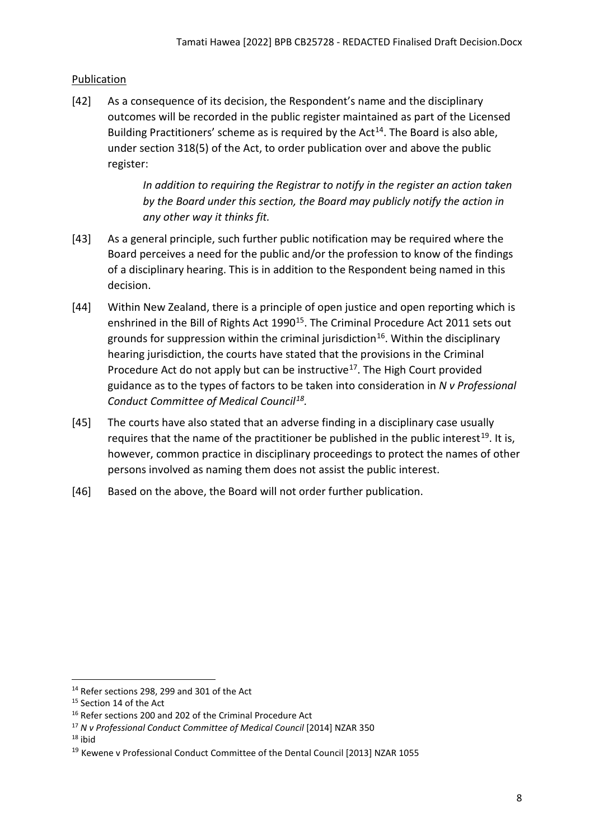# <span id="page-7-0"></span>Publication

[42] As a consequence of its decision, the Respondent's name and the disciplinary outcomes will be recorded in the public register maintained as part of the Licensed Building Practitioners' scheme as is required by the  $Act^{14}$  $Act^{14}$  $Act^{14}$ . The Board is also able, under section 318(5) of the Act, to order publication over and above the public register:

> *In addition to requiring the Registrar to notify in the register an action taken by the Board under this section, the Board may publicly notify the action in any other way it thinks fit.*

- [43] As a general principle, such further public notification may be required where the Board perceives a need for the public and/or the profession to know of the findings of a disciplinary hearing. This is in addition to the Respondent being named in this decision.
- [44] Within New Zealand, there is a principle of open justice and open reporting which is enshrined in the Bill of Rights Act 1990<sup>15</sup>. The Criminal Procedure Act 2011 sets out grounds for suppression within the criminal jurisdiction<sup>16</sup>. Within the disciplinary hearing jurisdiction, the courts have stated that the provisions in the Criminal Procedure Act do not apply but can be instructive<sup>[17](#page-7-4)</sup>. The High Court provided guidance as to the types of factors to be taken into consideration in *N v Professional Conduct Committee of Medical Council[18](#page-7-5).*
- [45] The courts have also stated that an adverse finding in a disciplinary case usually requires that the name of the practitioner be published in the public interest<sup>[19](#page-7-6)</sup>. It is, however, common practice in disciplinary proceedings to protect the names of other persons involved as naming them does not assist the public interest.
- [46] Based on the above, the Board will not order further publication.

<span id="page-7-5"></span> $18$  ibid

<span id="page-7-1"></span> $14$  Refer sections 298, 299 and 301 of the Act

<span id="page-7-2"></span><sup>&</sup>lt;sup>15</sup> Section 14 of the Act

<span id="page-7-3"></span><sup>&</sup>lt;sup>16</sup> Refer sections 200 and 202 of the Criminal Procedure Act

<span id="page-7-4"></span><sup>17</sup> *N v Professional Conduct Committee of Medical Council* [2014] NZAR 350

<span id="page-7-6"></span><sup>&</sup>lt;sup>19</sup> Kewene v Professional Conduct Committee of the Dental Council [2013] NZAR 1055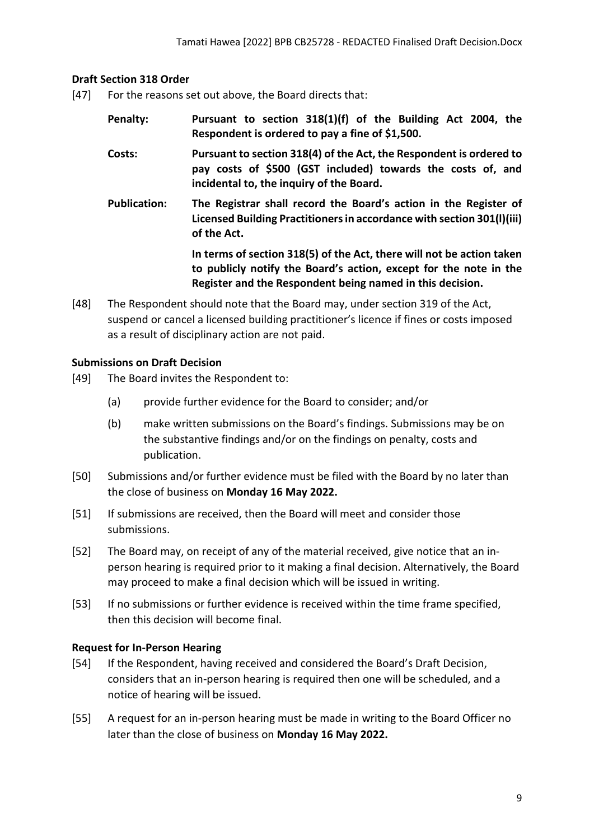### <span id="page-8-0"></span>**Draft Section 318 Order**

- [47] For the reasons set out above, the Board directs that:
	- **Penalty: Pursuant to section 318(1)(f) of the Building Act 2004, the Respondent is ordered to pay a fine of \$1,500.**
	- **Costs: Pursuant to section 318(4) of the Act, the Respondent is ordered to pay costs of \$500 (GST included) towards the costs of, and incidental to, the inquiry of the Board.**
	- **Publication: The Registrar shall record the Board's action in the Register of Licensed Building Practitioners in accordance with section 301(l)(iii) of the Act.**

**In terms of section 318(5) of the Act, there will not be action taken to publicly notify the Board's action, except for the note in the Register and the Respondent being named in this decision.**

[48] The Respondent should note that the Board may, under section 319 of the Act, suspend or cancel a licensed building practitioner's licence if fines or costs imposed as a result of disciplinary action are not paid.

### <span id="page-8-1"></span>**Submissions on Draft Decision**

- [49] The Board invites the Respondent to:
	- (a) provide further evidence for the Board to consider; and/or
	- (b) make written submissions on the Board's findings. Submissions may be on the substantive findings and/or on the findings on penalty, costs and publication.
- [50] Submissions and/or further evidence must be filed with the Board by no later than the close of business on **Monday 16 May 2022.**
- [51] If submissions are received, then the Board will meet and consider those submissions.
- [52] The Board may, on receipt of any of the material received, give notice that an inperson hearing is required prior to it making a final decision. Alternatively, the Board may proceed to make a final decision which will be issued in writing.
- [53] If no submissions or further evidence is received within the time frame specified, then this decision will become final.

## <span id="page-8-2"></span>**Request for In-Person Hearing**

- [54] If the Respondent, having received and considered the Board's Draft Decision, considers that an in-person hearing is required then one will be scheduled, and a notice of hearing will be issued.
- [55] A request for an in-person hearing must be made in writing to the Board Officer no later than the close of business on **Monday 16 May 2022.**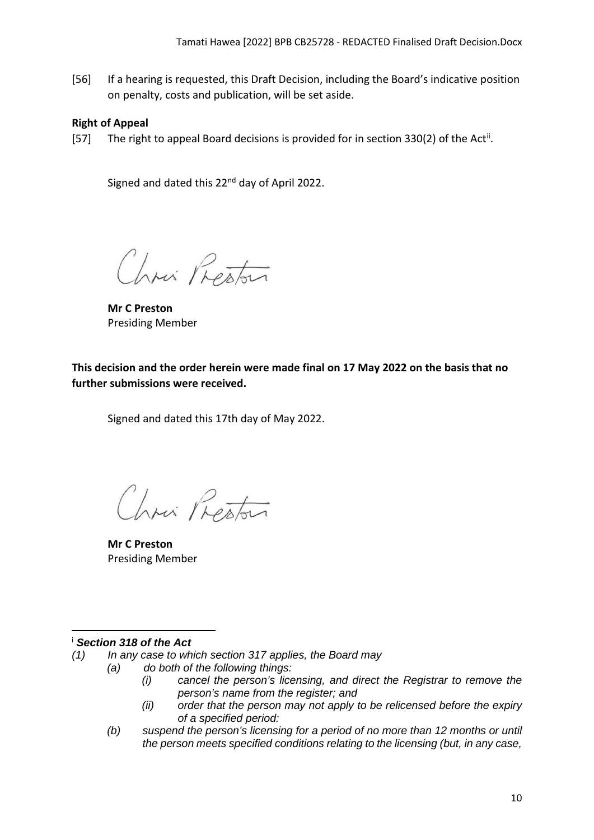[56] If a hearing is requested, this Draft Decision, including the Board's indicative position on penalty, costs and publication, will be set aside.

## <span id="page-9-0"></span>**Right of Appeal**

[57] The right to appeal Board decisions is provided for in section 330(2) of the Act<sup>[ii](#page-10-0)</sup>.

Signed and dated this 22<sup>nd</sup> day of April 2022.

Chris Preston

**Mr C Preston**  Presiding Member

<span id="page-9-1"></span>**This decision and the order herein were made final on 17 May 2022 on the basis that no further submissions were received.**

Signed and dated this 17th day of May 2022.

Chris Preston

**Mr C Preston**  Presiding Member

## <span id="page-9-2"></span><sup>i</sup> *Section 318 of the Act*

- *(1) In any case to which section 317 applies, the Board may*
	- *(a) do both of the following things:*
		- *(i) cancel the person's licensing, and direct the Registrar to remove the person's name from the register; and*
		- *(ii) order that the person may not apply to be relicensed before the expiry of a specified period:*
	- *(b) suspend the person's licensing for a period of no more than 12 months or until the person meets specified conditions relating to the licensing (but, in any case,*